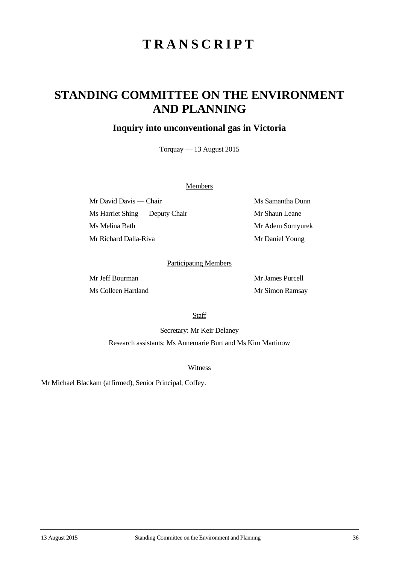# **TRANSCRIPT**

## **STANDING COMMITTEE ON THE ENVIRONMENT AND PLANNING**

### **Inquiry into unconventional gas in Victoria**

Torquay — 13 August 2015

#### **Members**

Mr David Davis — Chair Ms Samantha Dunn Ms Harriet Shing — Deputy Chair Mr Shaun Leane Ms Melina Bath Mr Adem Somyurek Mr Richard Dalla-Riva Mr Daniel Young

#### Participating Members

Mr Jeff Bourman Mr James Purcell Ms Colleen Hartland Mr Simon Ramsay

**Staff** 

Secretary: Mr Keir Delaney Research assistants: Ms Annemarie Burt and Ms Kim Martinow

Witness

Mr Michael Blackam (affirmed), Senior Principal, Coffey.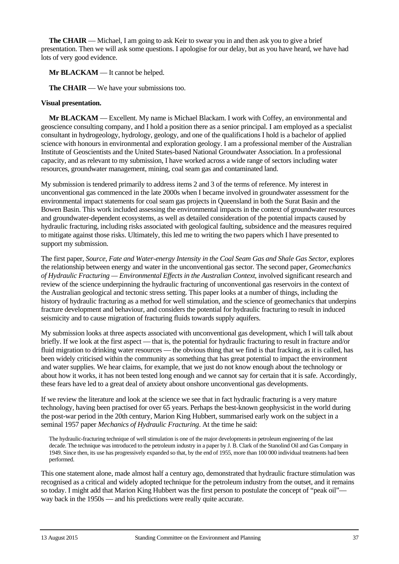**The CHAIR** — Michael, I am going to ask Keir to swear you in and then ask you to give a brief presentation. Then we will ask some questions. I apologise for our delay, but as you have heard, we have had lots of very good evidence.

**Mr BLACKAM** — It cannot be helped.

**The CHAIR** — We have your submissions too.

#### **Visual presentation.**

**Mr BLACKAM** — Excellent. My name is Michael Blackam. I work with Coffey, an environmental and geoscience consulting company, and I hold a position there as a senior principal. I am employed as a specialist consultant in hydrogeology, hydrology, geology, and one of the qualifications I hold is a bachelor of applied science with honours in environmental and exploration geology. I am a professional member of the Australian Institute of Geoscientists and the United States-based National Groundwater Association. In a professional capacity, and as relevant to my submission, I have worked across a wide range of sectors including water resources, groundwater management, mining, coal seam gas and contaminated land.

My submission is tendered primarily to address items 2 and 3 of the terms of reference. My interest in unconventional gas commenced in the late 2000s when I became involved in groundwater assessment for the environmental impact statements for coal seam gas projects in Queensland in both the Surat Basin and the Bowen Basin. This work included assessing the environmental impacts in the context of groundwater resources and groundwater-dependent ecosystems, as well as detailed consideration of the potential impacts caused by hydraulic fracturing, including risks associated with geological faulting, subsidence and the measures required to mitigate against those risks. Ultimately, this led me to writing the two papers which I have presented to support my submission.

The first paper, *Source, Fate and Water-energy Intensity in the Coal Seam Gas and Shale Gas Sector*, explores the relationship between energy and water in the unconventional gas sector. The second paper, *Geomechanics of Hydraulic Fracturing — Environmental Effects in the Australian Context*, involved significant research and review of the science underpinning the hydraulic fracturing of unconventional gas reservoirs in the context of the Australian geological and tectonic stress setting. This paper looks at a number of things, including the history of hydraulic fracturing as a method for well stimulation, and the science of geomechanics that underpins fracture development and behaviour, and considers the potential for hydraulic fracturing to result in induced seismicity and to cause migration of fracturing fluids towards supply aquifers.

My submission looks at three aspects associated with unconventional gas development, which I will talk about briefly. If we look at the first aspect — that is, the potential for hydraulic fracturing to result in fracture and/or fluid migration to drinking water resources — the obvious thing that we find is that fracking, as it is called, has been widely criticised within the community as something that has great potential to impact the environment and water supplies. We hear claims, for example, that we just do not know enough about the technology or about how it works, it has not been tested long enough and we cannot say for certain that it is safe. Accordingly, these fears have led to a great deal of anxiety about onshore unconventional gas developments.

If we review the literature and look at the science we see that in fact hydraulic fracturing is a very mature technology, having been practised for over 65 years. Perhaps the best-known geophysicist in the world during the post-war period in the 20th century, Marion King Hubbert, summarised early work on the subject in a seminal 1957 paper *Mechanics of Hydraulic Fracturing*. At the time he said:

The hydraulic-fracturing technique of well stimulation is one of the major developments in petroleum engineering of the last decade. The technique was introduced to the petroleum industry in a paper by J. B. Clark of the Stanolind Oil and Gas Company in 1949. Since then, its use has progressively expanded so that, by the end of 1955, more than 100 000 individual treatments had been performed.

This one statement alone, made almost half a century ago, demonstrated that hydraulic fracture stimulation was recognised as a critical and widely adopted technique for the petroleum industry from the outset, and it remains so today. I might add that Marion King Hubbert was the first person to postulate the concept of "peak oil" way back in the 1950s — and his predictions were really quite accurate.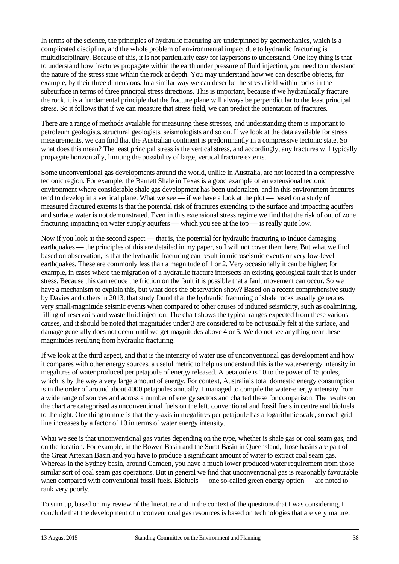In terms of the science, the principles of hydraulic fracturing are underpinned by geomechanics, which is a complicated discipline, and the whole problem of environmental impact due to hydraulic fracturing is multidisciplinary. Because of this, it is not particularly easy for laypersons to understand. One key thing is that to understand how fractures propagate within the earth under pressure of fluid injection, you need to understand the nature of the stress state within the rock at depth. You may understand how we can describe objects, for example, by their three dimensions. In a similar way we can describe the stress field within rocks in the subsurface in terms of three principal stress directions. This is important, because if we hydraulically fracture the rock, it is a fundamental principle that the fracture plane will always be perpendicular to the least principal stress. So it follows that if we can measure that stress field, we can predict the orientation of fractures.

There are a range of methods available for measuring these stresses, and understanding them is important to petroleum geologists, structural geologists, seismologists and so on. If we look at the data available for stress measurements, we can find that the Australian continent is predominantly in a compressive tectonic state. So what does this mean? The least principal stress is the vertical stress, and accordingly, any fractures will typically propagate horizontally, limiting the possibility of large, vertical fracture extents.

Some unconventional gas developments around the world, unlike in Australia, are not located in a compressive tectonic region. For example, the Barnett Shale in Texas is a good example of an extensional tectonic environment where considerable shale gas development has been undertaken, and in this environment fractures tend to develop in a vertical plane. What we see — if we have a look at the plot — based on a study of measured fractured extents is that the potential risk of fractures extending to the surface and impacting aquifers and surface water is not demonstrated. Even in this extensional stress regime we find that the risk of out of zone fracturing impacting on water supply aquifers — which you see at the top — is really quite low.

Now if you look at the second aspect — that is, the potential for hydraulic fracturing to induce damaging earthquakes — the principles of this are detailed in my paper, so I will not cover them here. But what we find, based on observation, is that the hydraulic fracturing can result in microseismic events or very low-level earthquakes. These are commonly less than a magnitude of 1 or 2. Very occasionally it can be higher; for example, in cases where the migration of a hydraulic fracture intersects an existing geological fault that is under stress. Because this can reduce the friction on the fault it is possible that a fault movement can occur. So we have a mechanism to explain this, but what does the observation show? Based on a recent comprehensive study by Davies and others in 2013, that study found that the hydraulic fracturing of shale rocks usually generates very small-magnitude seismic events when compared to other causes of induced seismicity, such as coalmining, filling of reservoirs and waste fluid injection. The chart shows the typical ranges expected from these various causes, and it should be noted that magnitudes under 3 are considered to be not usually felt at the surface, and damage generally does not occur until we get magnitudes above 4 or 5. We do not see anything near these magnitudes resulting from hydraulic fracturing.

If we look at the third aspect, and that is the intensity of water use of unconventional gas development and how it compares with other energy sources, a useful metric to help us understand this is the water-energy intensity in megalitres of water produced per petajoule of energy released. A petajoule is 10 to the power of 15 joules, which is by the way a very large amount of energy. For context, Australia's total domestic energy consumption is in the order of around about 4000 petajoules annually. I managed to compile the water-energy intensity from a wide range of sources and across a number of energy sectors and charted these for comparison. The results on the chart are categorised as unconventional fuels on the left, conventional and fossil fuels in centre and biofuels to the right. One thing to note is that the y-axis in megalitres per petajoule has a logarithmic scale, so each grid line increases by a factor of 10 in terms of water energy intensity.

What we see is that unconventional gas varies depending on the type, whether is shale gas or coal seam gas, and on the location. For example, in the Bowen Basin and the Surat Basin in Queensland, those basins are part of the Great Artesian Basin and you have to produce a significant amount of water to extract coal seam gas. Whereas in the Sydney basin, around Camden, you have a much lower produced water requirement from those similar sort of coal seam gas operations. But in general we find that unconventional gas is reasonably favourable when compared with conventional fossil fuels. Biofuels — one so-called green energy option — are noted to rank very poorly.

To sum up, based on my review of the literature and in the context of the questions that I was considering, I conclude that the development of unconventional gas resources is based on technologies that are very mature,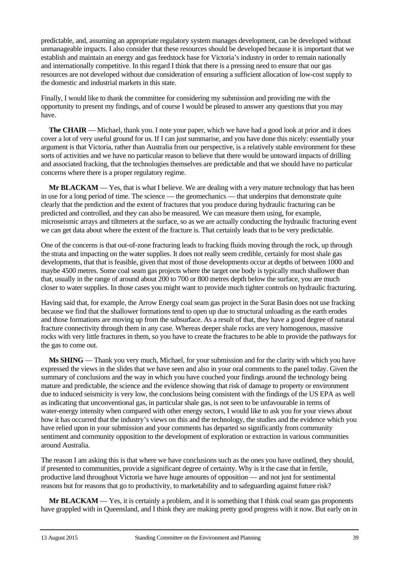predictable, and, assuming an appropriate regulatory system manages development, can be developed without unmanageable impacts. I also consider that these resources should be developed because it is important that we establish and maintain an energy and gas feedstock base for Victoria's industry in order to remain nationally and internationally competitive. In this regard I think that there is a pressing need to ensure that our gas resources are not developed without due consideration of ensuring a sufficient allocation of low-cost supply to the domestic and industrial markets in this state.

Finally, I would like to thank the committee for considering my submission and providing me with the opportunity to present my findings, and of course I would be pleased to answer any questions that you may have.

**The CHAIR** — Michael, thank you. I note your paper, which we have had a good look at prior and it does cover a lot of very useful ground for us. If I can just summarise, and you have done this nicely: essentially your argument is that Victoria, rather than Australia from our perspective, is a relatively stable environment for these sorts of activities and we have no particular reason to believe that there would be untoward impacts of drilling and associated fracking, that the technologies themselves are predictable and that we should have no particular concerns where there is a proper regulatory regime.

**Mr BLACKAM** — Yes, that is what I believe. We are dealing with a very mature technology that has been in use for a long period of time. The science — the geomechanics — that underpins that demonstrate quite clearly that the prediction and the extent of fractures that you produce during hydraulic fracturing can be predicted and controlled, and they can also be measured. We can measure them using, for example, microseismic arrays and tiltmeters at the surface, so as we are actually conducting the hydraulic fracturing event we can get data about where the extent of the fracture is. That certainly leads that to be very predictable.

One of the concerns is that out-of-zone fracturing leads to fracking fluids moving through the rock, up through the strata and impacting on the water supplies. It does not really seem credible, certainly for most shale gas developments, that that is feasible, given that most of those developments occur at depths of between 1000 and maybe 4500 metres. Some coal seam gas projects where the target one body is typically much shallower than that, usually in the range of around about 200 to 700 or 800 metres depth below the surface, you are much closer to water supplies. In those cases you might want to provide much tighter controls on hydraulic fracturing.

Having said that, for example, the Arrow Energy coal seam gas project in the Surat Basin does not use fracking because we find that the shallower formations tend to open up due to structural unloading as the earth erodes and those formations are moving up from the subsurface. As a result of that, they have a good degree of natural fracture connectivity through them in any case. Whereas deeper shale rocks are very homogenous, massive rocks with very little fractures in them, so you have to create the fractures to be able to provide the pathways for the gas to come out.

**Ms SHING** — Thank you very much, Michael, for your submission and for the clarity with which you have expressed the views in the slides that we have seen and also in your oral comments to the panel today. Given the summary of conclusions and the way in which you have couched your findings around the technology being mature and predictable, the science and the evidence showing that risk of damage to property or environment due to induced seismicity is very low, the conclusions being consistent with the findings of the US EPA as well as indicating that unconventional gas, in particular shale gas, is not seen to be unfavourable in terms of water-energy intensity when compared with other energy sectors, I would like to ask you for your views about how it has occurred that the industry's views on this and the technology, the studies and the evidence which you have relied upon in your submission and your comments has departed so significantly from community sentiment and community opposition to the development of exploration or extraction in various communities around Australia.

The reason I am asking this is that where we have conclusions such as the ones you have outlined, they should, if presented to communities, provide a significant degree of certainty. Why is it the case that in fertile, productive land throughout Victoria we have huge amounts of opposition — and not just for sentimental reasons but for reasons that go to productivity, to marketability and to safeguarding against future risk?

**Mr BLACKAM** — Yes, it is certainly a problem, and it is something that I think coal seam gas proponents have grappled with in Queensland, and I think they are making pretty good progress with it now. But early on in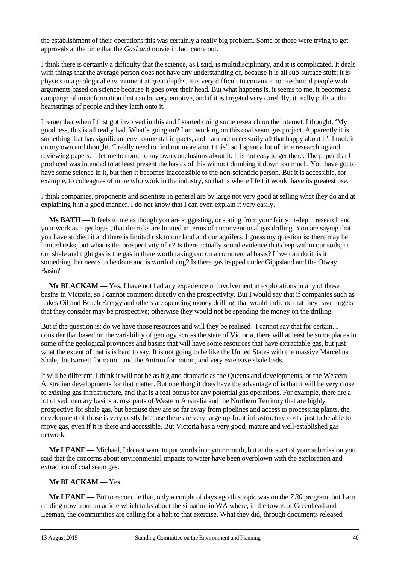the establishment of their operations this was certainly a really big problem. Some of those were trying to get approvals at the time that the *GasLand* movie in fact came out.

I think there is certainly a difficulty that the science, as I said, is multidisciplinary, and it is complicated. It deals with things that the average person does not have any understanding of, because it is all sub-surface stuff; it is physics in a geological environment at great depths. It is very difficult to convince non-technical people with arguments based on science because it goes over their head. But what happens is, it seems to me, it becomes a campaign of misinformation that can be very emotive, and if it is targeted very carefully, it really pulls at the heartstrings of people and they latch onto it.

I remember when I first got involved in this and I started doing some research on the internet, I thought, 'My goodness, this is all really bad. What's going on? I am working on this coal seam gas project. Apparently it is something that has significant environmental impacts, and I am not necessarily all that happy about it'. I took it on my own and thought, 'I really need to find out more about this', so I spent a lot of time researching and reviewing papers. It let me to come to my own conclusions about it. It is not easy to get there. The paper that I produced was intended to at least present the basics of this without dumbing it down too much. You have got to have some science in it, but then it becomes inaccessible to the non-scientific person. But it is accessible, for example, to colleagues of mine who work in the industry, so that is where I felt it would have its greatest use.

I think companies, proponents and scientists in general are by large not very good at selling what they do and at explaining it in a good manner. I do not know that I can even explain it very easily.

**Ms BATH** — It feels to me as though you are suggesting, or stating from your fairly in-depth research and your work as a geologist, that the risks are limited in terms of unconventional gas drilling. You are saying that you have studied it and there is limited risk to our land and our aquifers. I guess my question is: there may be limited risks, but what is the prospectivity of it? Is there actually sound evidence that deep within our soils, in our shale and tight gas is the gas in there worth taking out on a commercial basis? If we can do it, is it something that needs to be done and is worth doing? Is there gas trapped under Gippsland and the Otway Basin?

**Mr BLACKAM** — Yes, I have not had any experience or involvement in explorations in any of those basins in Victoria, so I cannot comment directly on the prospectivity. But I would say that if companies such as Lakes Oil and Beach Energy and others are spending money drilling, that would indicate that they have targets that they consider may be prospective; otherwise they would not be spending the money on the drilling.

But if the question is: do we have those resources and will they be realised? I cannot say that for certain. I consider that based on the variability of geology across the state of Victoria, there will at least be some places in some of the geological provinces and basins that will have some resources that have extractable gas, but just what the extent of that is is hard to say. It is not going to be like the United States with the massive Marcellus Shale, the Barnett formation and the Antrim formation, and very extensive shale beds.

It will be different. I think it will not be as big and dramatic as the Queensland developments, or the Western Australian developments for that matter. But one thing it does have the advantage of is that it will be very close to existing gas infrastructure, and that is a real bonus for any potential gas operations. For example, there are a lot of sedimentary basins across parts of Western Australia and the Northern Territory that are highly prospective for shale gas, but because they are so far away from pipelines and access to processing plants, the development of those is very costly because there are very large up-front infrastructure costs, just to be able to move gas, even if it is there and accessible. But Victoria has a very good, mature and well-established gas network.

**Mr LEANE** — Michael, I do not want to put words into your mouth, but at the start of your submission you said that the concerns about environmental impacts to water have been overblown with the exploration and extraction of coal seam gas.

#### **Mr BLACKAM** — Yes.

**Mr LEANE** — But to reconcile that, only a couple of days ago this topic was on the *7.30* program, but I am reading now from an article which talks about the situation in WA where, in the towns of Greenhead and Leeman, the communities are calling for a halt to that exercise. What they did, through documents released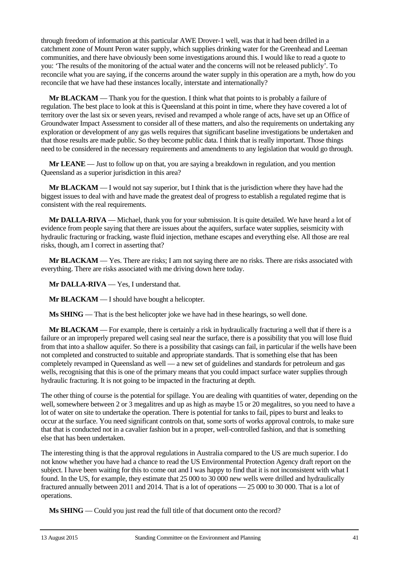through freedom of information at this particular AWE Drover-1 well, was that it had been drilled in a catchment zone of Mount Peron water supply, which supplies drinking water for the Greenhead and Leeman communities, and there have obviously been some investigations around this. I would like to read a quote to you: 'The results of the monitoring of the actual water and the concerns will not be released publicly'. To reconcile what you are saying, if the concerns around the water supply in this operation are a myth, how do you reconcile that we have had these instances locally, interstate and internationally?

**Mr BLACKAM** — Thank you for the question. I think what that points to is probably a failure of regulation. The best place to look at this is Queensland at this point in time, where they have covered a lot of territory over the last six or seven years, revised and revamped a whole range of acts, have set up an Office of Groundwater Impact Assessment to consider all of these matters, and also the requirements on undertaking any exploration or development of any gas wells requires that significant baseline investigations be undertaken and that those results are made public. So they become public data. I think that is really important. Those things need to be considered in the necessary requirements and amendments to any legislation that would go through.

**Mr LEANE** — Just to follow up on that, you are saying a breakdown in regulation, and you mention Queensland as a superior jurisdiction in this area?

**Mr BLACKAM** — I would not say superior, but I think that is the jurisdiction where they have had the biggest issues to deal with and have made the greatest deal of progress to establish a regulated regime that is consistent with the real requirements.

**Mr DALLA-RIVA** — Michael, thank you for your submission. It is quite detailed. We have heard a lot of evidence from people saying that there are issues about the aquifers, surface water supplies, seismicity with hydraulic fracturing or fracking, waste fluid injection, methane escapes and everything else. All those are real risks, though, am I correct in asserting that?

**Mr BLACKAM** — Yes. There are risks; I am not saying there are no risks. There are risks associated with everything. There are risks associated with me driving down here today.

**Mr DALLA-RIVA** — Yes, I understand that.

**Mr BLACKAM** — I should have bought a helicopter.

**Ms SHING** — That is the best helicopter joke we have had in these hearings, so well done.

**Mr BLACKAM** — For example, there is certainly a risk in hydraulically fracturing a well that if there is a failure or an improperly prepared well casing seal near the surface, there is a possibility that you will lose fluid from that into a shallow aquifer. So there is a possibility that casings can fail, in particular if the wells have been not completed and constructed to suitable and appropriate standards. That is something else that has been completely revamped in Queensland as well — a new set of guidelines and standards for petroleum and gas wells, recognising that this is one of the primary means that you could impact surface water supplies through hydraulic fracturing. It is not going to be impacted in the fracturing at depth.

The other thing of course is the potential for spillage. You are dealing with quantities of water, depending on the well, somewhere between 2 or 3 megalitres and up as high as maybe 15 or 20 megalitres, so you need to have a lot of water on site to undertake the operation. There is potential for tanks to fail, pipes to burst and leaks to occur at the surface. You need significant controls on that, some sorts of works approval controls, to make sure that that is conducted not in a cavalier fashion but in a proper, well-controlled fashion, and that is something else that has been undertaken.

The interesting thing is that the approval regulations in Australia compared to the US are much superior. I do not know whether you have had a chance to read the US Environmental Protection Agency draft report on the subject. I have been waiting for this to come out and I was happy to find that it is not inconsistent with what I found. In the US, for example, they estimate that 25 000 to 30 000 new wells were drilled and hydraulically fractured annually between 2011 and 2014. That is a lot of operations — 25 000 to 30 000. That is a lot of operations.

**Ms SHING** — Could you just read the full title of that document onto the record?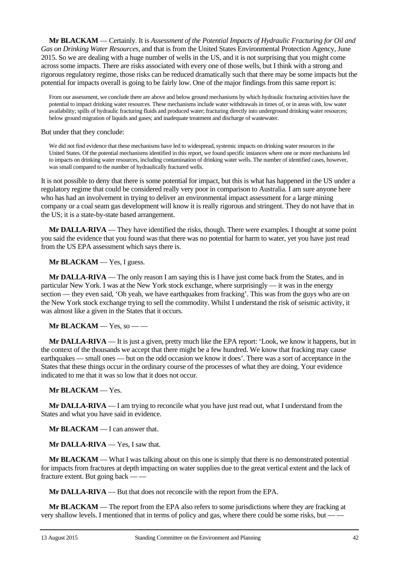**Mr BLACKAM** — Certainly. It is *Assessment of the Potential Impacts of Hydraulic Fracturing for Oil and Gas on Drinking Water Resources*, and that is from the United States Environmental Protection Agency, June 2015. So we are dealing with a huge number of wells in the US, and it is not surprising that you might come across some impacts. There are risks associated with every one of those wells, but I think with a strong and rigorous regulatory regime, those risks can be reduced dramatically such that there may be some impacts but the potential for impacts overall is going to be fairly low. One of the major findings from this same report is:

From our assessment, we conclude there are above and below ground mechanisms by which hydraulic fracturing activities have the potential to impact drinking water resources. These mechanisms include water withdrawals in times of, or in areas with, low water availability; spills of hydraulic fracturing fluids and produced water; fracturing directly into underground drinking water resources; below ground migration of liquids and gases; and inadequate treatment and discharge of wastewater.

But under that they conclude:

We did not find evidence that these mechanisms have led to widespread, systemic impacts on drinking water resources in the United States. Of the potential mechanisms identified in this report, we found specific instances where one or more mechanisms led to impacts on drinking water resources, including contamination of drinking water wells. The number of identified cases, however, was small compared to the number of hydraulically fractured wells.

It is not possible to deny that there is some potential for impact, but this is what has happened in the US under a regulatory regime that could be considered really very poor in comparison to Australia. I am sure anyone here who has had an involvement in trying to deliver an environmental impact assessment for a large mining company or a coal seam gas development will know it is really rigorous and stringent. They do not have that in the US; it is a state-by-state based arrangement.

**Mr DALLA-RIVA** — They have identified the risks, though. There were examples. I thought at some point you said the evidence that you found was that there was no potential for harm to water, yet you have just read from the US EPA assessment which says there is.

**Mr BLACKAM** — Yes, I guess.

**Mr DALLA-RIVA** — The only reason I am saying this is I have just come back from the States, and in particular New York. I was at the New York stock exchange, where surprisingly — it was in the energy section — they even said, 'Oh yeah, we have earthquakes from fracking'. This was from the guys who are on the New York stock exchange trying to sell the commodity. Whilst I understand the risk of seismic activity, it was almost like a given in the States that it occurs.

**Mr BLACKAM** — Yes, so — —

**Mr DALLA-RIVA** — It is just a given, pretty much like the EPA report: 'Look, we know it happens, but in the context of the thousands we accept that there might be a few hundred. We know that fracking may cause earthquakes — small ones — but on the odd occasion we know it does'. There was a sort of acceptance in the States that these things occur in the ordinary course of the processes of what they are doing. Your evidence indicated to me that it was so low that it does not occur.

#### **Mr BLACKAM** — Yes.

**Mr DALLA-RIVA** — I am trying to reconcile what you have just read out, what I understand from the States and what you have said in evidence.

**Mr BLACKAM** — I can answer that.

**Mr DALLA-RIVA** — Yes, I saw that.

**Mr BLACKAM** — What I was talking about on this one is simply that there is no demonstrated potential for impacts from fractures at depth impacting on water supplies due to the great vertical extent and the lack of fracture extent. But going back — —

**Mr DALLA-RIVA** — But that does not reconcile with the report from the EPA.

**Mr BLACKAM** — The report from the EPA also refers to some jurisdictions where they are fracking at very shallow levels. I mentioned that in terms of policy and gas, where there could be some risks, but — —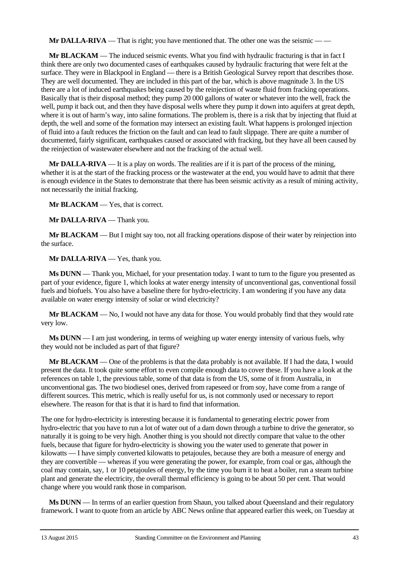**Mr DALLA-RIVA** — That is right; you have mentioned that. The other one was the seismic — —

**Mr BLACKAM** — The induced seismic events. What you find with hydraulic fracturing is that in fact I think there are only two documented cases of earthquakes caused by hydraulic fracturing that were felt at the surface. They were in Blackpool in England — there is a British Geological Survey report that describes those. They are well documented. They are included in this part of the bar, which is above magnitude 3. In the US there are a lot of induced earthquakes being caused by the reinjection of waste fluid from fracking operations. Basically that is their disposal method; they pump 20 000 gallons of water or whatever into the well, frack the well, pump it back out, and then they have disposal wells where they pump it down into aquifers at great depth, where it is out of harm's way, into saline formations. The problem is, there is a risk that by injecting that fluid at depth, the well and some of the formation may intersect an existing fault. What happens is prolonged injection of fluid into a fault reduces the friction on the fault and can lead to fault slippage. There are quite a number of documented, fairly significant, earthquakes caused or associated with fracking, but they have all been caused by the reinjection of wastewater elsewhere and not the fracking of the actual well.

**Mr DALLA-RIVA** — It is a play on words. The realities are if it is part of the process of the mining, whether it is at the start of the fracking process or the wastewater at the end, you would have to admit that there is enough evidence in the States to demonstrate that there has been seismic activity as a result of mining activity, not necessarily the initial fracking.

**Mr BLACKAM** — Yes, that is correct.

**Mr DALLA-RIVA** — Thank you.

**Mr BLACKAM** — But I might say too, not all fracking operations dispose of their water by reinjection into the surface.

**Mr DALLA-RIVA** — Yes, thank you.

**Ms DUNN** — Thank you, Michael, for your presentation today. I want to turn to the figure you presented as part of your evidence, figure 1, which looks at water energy intensity of unconventional gas, conventional fossil fuels and biofuels. You also have a baseline there for hydro-electricity. I am wondering if you have any data available on water energy intensity of solar or wind electricity?

**Mr BLACKAM** — No, I would not have any data for those. You would probably find that they would rate very low.

**Ms DUNN** — I am just wondering, in terms of weighing up water energy intensity of various fuels, why they would not be included as part of that figure?

**Mr BLACKAM** — One of the problems is that the data probably is not available. If I had the data, I would present the data. It took quite some effort to even compile enough data to cover these. If you have a look at the references on table 1, the previous table, some of that data is from the US, some of it from Australia, in unconventional gas. The two biodiesel ones, derived from rapeseed or from soy, have come from a range of different sources. This metric, which is really useful for us, is not commonly used or necessary to report elsewhere. The reason for that is that it is hard to find that information.

The one for hydro-electricity is interesting because it is fundamental to generating electric power from hydro-electric that you have to run a lot of water out of a dam down through a turbine to drive the generator, so naturally it is going to be very high. Another thing is you should not directly compare that value to the other fuels, because that figure for hydro-electricity is showing you the water used to generate that power in kilowatts — I have simply converted kilowatts to petajoules, because they are both a measure of energy and they are convertible — whereas if you were generating the power, for example, from coal or gas, although the coal may contain, say, 1 or 10 petajoules of energy, by the time you burn it to heat a boiler, run a steam turbine plant and generate the electricity, the overall thermal efficiency is going to be about 50 per cent. That would change where you would rank those in comparison.

**Ms DUNN** — In terms of an earlier question from Shaun, you talked about Queensland and their regulatory framework. I want to quote from an article by ABC News online that appeared earlier this week, on Tuesday at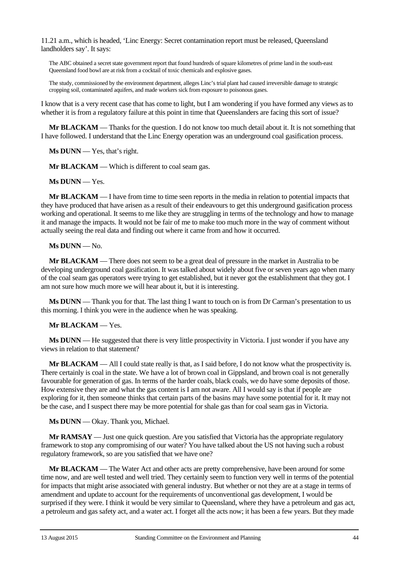11.21 a.m., which is headed, 'Linc Energy: Secret contamination report must be released, Queensland landholders say'. It says:

The ABC obtained a secret state government report that found hundreds of square kilometres of prime land in the south-east Queensland food bowl are at risk from a cocktail of toxic chemicals and explosive gases.

The study, commissioned by the environment department, alleges Linc's trial plant had caused irreversible damage to strategic cropping soil, contaminated aquifers, and made workers sick from exposure to poisonous gases.

I know that is a very recent case that has come to light, but I am wondering if you have formed any views as to whether it is from a regulatory failure at this point in time that Queenslanders are facing this sort of issue?

**Mr BLACKAM** — Thanks for the question. I do not know too much detail about it. It is not something that I have followed. I understand that the Linc Energy operation was an underground coal gasification process.

**Ms DUNN** — Yes, that's right.

**Mr BLACKAM** — Which is different to coal seam gas.

**Ms DUNN** — Yes.

**Mr BLACKAM** — I have from time to time seen reports in the media in relation to potential impacts that they have produced that have arisen as a result of their endeavours to get this underground gasification process working and operational. It seems to me like they are struggling in terms of the technology and how to manage it and manage the impacts. It would not be fair of me to make too much more in the way of comment without actually seeing the real data and finding out where it came from and how it occurred.

#### **Ms DUNN** — No.

**Mr BLACKAM** — There does not seem to be a great deal of pressure in the market in Australia to be developing underground coal gasification. It was talked about widely about five or seven years ago when many of the coal seam gas operators were trying to get established, but it never got the establishment that they got. I am not sure how much more we will hear about it, but it is interesting.

**Ms DUNN** — Thank you for that. The last thing I want to touch on is from Dr Carman's presentation to us this morning. I think you were in the audience when he was speaking.

#### **Mr BLACKAM** — Yes.

**Ms DUNN** — He suggested that there is very little prospectivity in Victoria. I just wonder if you have any views in relation to that statement?

**Mr BLACKAM** — All I could state really is that, as I said before, I do not know what the prospectivity is. There certainly is coal in the state. We have a lot of brown coal in Gippsland, and brown coal is not generally favourable for generation of gas. In terms of the harder coals, black coals, we do have some deposits of those. How extensive they are and what the gas content is I am not aware. All I would say is that if people are exploring for it, then someone thinks that certain parts of the basins may have some potential for it. It may not be the case, and I suspect there may be more potential for shale gas than for coal seam gas in Victoria.

**Ms DUNN** — Okay. Thank you, Michael.

**Mr RAMSAY** — Just one quick question. Are you satisfied that Victoria has the appropriate regulatory framework to stop any compromising of our water? You have talked about the US not having such a robust regulatory framework, so are you satisfied that we have one?

**Mr BLACKAM** — The Water Act and other acts are pretty comprehensive, have been around for some time now, and are well tested and well tried. They certainly seem to function very well in terms of the potential for impacts that might arise associated with general industry. But whether or not they are at a stage in terms of amendment and update to account for the requirements of unconventional gas development, I would be surprised if they were. I think it would be very similar to Queensland, where they have a petroleum and gas act, a petroleum and gas safety act, and a water act. I forget all the acts now; it has been a few years. But they made